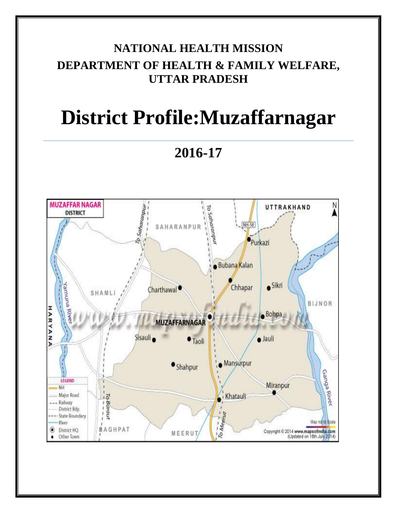# **NATIONAL HEALTH MISSION DEPARTMENT OF HEALTH & FAMILY WELFARE, UTTAR PRADESH**

# **District Profile:Muzaffarnagar**

**2016-17**

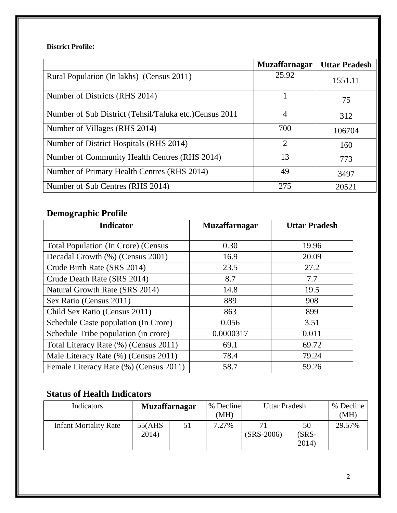#### **District Profile:**

|                                                         | <b>Muzaffarnagar</b> | <b>Uttar Pradesh</b> |
|---------------------------------------------------------|----------------------|----------------------|
| Rural Population (In lakhs) (Census 2011)               | 25.92                | 1551.11              |
| Number of Districts (RHS 2014)                          |                      | 75                   |
| Number of Sub District (Tehsil/Taluka etc.) Census 2011 | 4                    | 312                  |
| Number of Villages (RHS 2014)                           | 700                  | 106704               |
| Number of District Hospitals (RHS 2014)                 | $\overline{2}$       | 160                  |
| Number of Community Health Centres (RHS 2014)           | 13                   | 773                  |
| Number of Primary Health Centres (RHS 2014)             | 49                   | 3497                 |
| Number of Sub Centres (RHS 2014)                        | 275                  | 20521                |

### **Demographic Profile**

| <b>Indicator</b>                           | <b>Muzaffarnagar</b> | <b>Uttar Pradesh</b> |
|--------------------------------------------|----------------------|----------------------|
|                                            |                      |                      |
| <b>Total Population (In Crore) (Census</b> | 0.30                 | 19.96                |
| Decadal Growth (%) (Census 2001)           | 16.9                 | 20.09                |
| Crude Birth Rate (SRS 2014)                | 23.5                 | 27.2                 |
| Crude Death Rate (SRS 2014)                | 8.7                  | 7.7                  |
| Natural Growth Rate (SRS 2014)             | 14.8                 | 19.5                 |
| Sex Ratio (Census 2011)                    | 889                  | 908                  |
| Child Sex Ratio (Census 2011)              | 863                  | 899                  |
| Schedule Caste population (In Crore)       | 0.056                | 3.51                 |
| Schedule Tribe population (in crore)       | 0.0000317            | 0.011                |
| Total Literacy Rate (%) (Census 2011)      | 69.1                 | 69.72                |
| Male Literacy Rate (%) (Census 2011)       | 78.4                 | 79.24                |
| Female Literacy Rate (%) (Census 2011)     | 58.7                 | 59.26                |

## **Status of Health Indicators**

| Indicators                   | <b>Muzaffarnagar</b> |    | % Decline<br>(MH) | Uttar Pradesh      |                         | % Decline<br>(MH) |
|------------------------------|----------------------|----|-------------------|--------------------|-------------------------|-------------------|
| <b>Infant Mortality Rate</b> | 55(AHS)<br>2014)     | 51 | 7.27%             | 71<br>$(SRS-2006)$ | 50<br>$(SRS -$<br>2014) | 29.57%            |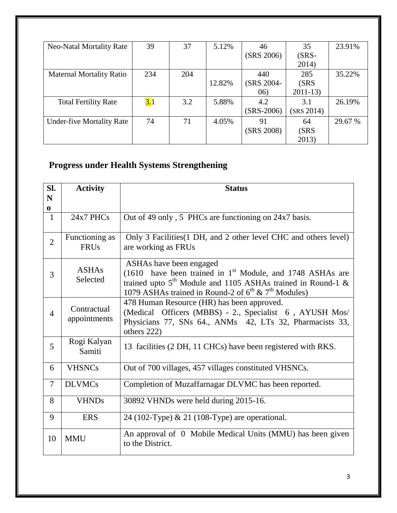| <b>Neo-Natal Mortality Rate</b>  | 39  | 37  | 5.12%  | 46           | 35         | 23.91%  |
|----------------------------------|-----|-----|--------|--------------|------------|---------|
|                                  |     |     |        | (SRS 2006)   | $(SRS-$    |         |
|                                  |     |     |        |              | 2014)      |         |
| <b>Maternal Mortality Ratio</b>  | 234 | 204 |        | 440          | 285        | 35.22%  |
|                                  |     |     | 12.82% | (SRS 2004-   | (SRS       |         |
|                                  |     |     |        | 06)          | $2011-13$  |         |
| <b>Total Fertility Rate</b>      | 3.1 | 3.2 | 5.88%  | 4.2          | 3.1        | 26.19%  |
|                                  |     |     |        | $(SRS-2006)$ | (SRS 2014) |         |
| <b>Under-five Mortality Rate</b> | 74  | 71  | 4.05%  | 91           | 64         | 29.67 % |
|                                  |     |     |        | (SRS 2008)   | (SRS       |         |
|                                  |     |     |        |              | 2013)      |         |

## **Progress under Health Systems Strengthening**

| SI.<br>N       | <b>Activity</b>               | <b>Status</b>                                                                                                                                                                                                                          |
|----------------|-------------------------------|----------------------------------------------------------------------------------------------------------------------------------------------------------------------------------------------------------------------------------------|
| $\bf{0}$       |                               |                                                                                                                                                                                                                                        |
| $\mathbf{1}$   | $24x7$ PHCs                   | Out of 49 only, 5 PHCs are functioning on 24x7 basis.                                                                                                                                                                                  |
| $\overline{2}$ | Functioning as<br><b>FRUs</b> | Only 3 Facilities (1 DH, and 2 other level CHC and others level)<br>are working as FRUs                                                                                                                                                |
| 3              | <b>ASHAs</b><br>Selected      | ASHAs have been engaged<br>(1610 have been trained in $1st$ Module, and 1748 ASHAs are<br>trained upto $5th$ Module and 1105 ASHAs trained in Round-1 &<br>1079 ASHAs trained in Round-2 of 6 <sup>th</sup> & 7 <sup>th</sup> Modules) |
| $\overline{4}$ | Contractual<br>appointments   | 478 Human Resource (HR) has been approved.<br>(Medical Officers (MBBS) - 2., Specialist 6, AYUSH Mos/<br>Physicians 77, SNs 64., ANMs 42, LTs 32, Pharmacists 33,<br>others 222)                                                       |
| 5              | Rogi Kalyan<br>Samiti         | 13 facilities (2 DH, 11 CHCs) have been registered with RKS.                                                                                                                                                                           |
| 6              | <b>VHSNCs</b>                 | Out of 700 villages, 457 villages constituted VHSNCs.                                                                                                                                                                                  |
| $\overline{7}$ | <b>DLVMCs</b>                 | Completion of Muzaffarnagar DLVMC has been reported.                                                                                                                                                                                   |
| 8              | <b>VHNDs</b>                  | 30892 VHNDs were held during 2015-16.                                                                                                                                                                                                  |
| 9              | <b>ERS</b>                    | 24 (102-Type) $& 21$ (108-Type) are operational.                                                                                                                                                                                       |
| 10             | <b>MMU</b>                    | An approval of 0 Mobile Medical Units (MMU) has been given<br>to the District.                                                                                                                                                         |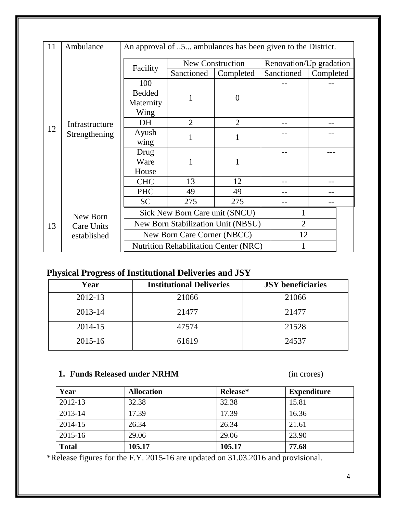| 11 | Ambulance           | An approval of 5 ambulances has been given to the District. |                                |                         |            |                         |  |
|----|---------------------|-------------------------------------------------------------|--------------------------------|-------------------------|------------|-------------------------|--|
|    |                     |                                                             |                                | <b>New Construction</b> |            | Renovation/Up gradation |  |
|    |                     | Facility                                                    | Sanctioned                     | Completed               | Sanctioned | Completed               |  |
|    |                     | 100                                                         |                                |                         |            |                         |  |
|    |                     | <b>Bedded</b>                                               |                                | $\Omega$                |            |                         |  |
|    |                     | Maternity                                                   |                                |                         |            |                         |  |
|    |                     | Wing                                                        |                                |                         |            |                         |  |
|    | Infrastructure      | DH                                                          | $\overline{2}$                 | $\overline{2}$          |            |                         |  |
|    | 12<br>Strengthening | Ayush                                                       | 1                              | 1                       |            |                         |  |
|    |                     | wing                                                        |                                |                         |            |                         |  |
|    |                     | Drug                                                        |                                |                         |            |                         |  |
|    |                     | Ware                                                        |                                |                         |            |                         |  |
|    |                     | House                                                       |                                |                         |            |                         |  |
|    |                     | <b>CHC</b>                                                  | 13                             | 12                      |            |                         |  |
|    |                     | <b>PHC</b>                                                  | 49                             | 49                      |            |                         |  |
|    |                     | <b>SC</b>                                                   | 275                            | 275                     |            |                         |  |
|    | New Born            |                                                             | Sick New Born Care unit (SNCU) |                         |            |                         |  |
| 13 | Care Units          | New Born Stabilization Unit (NBSU)                          |                                | $\overline{2}$          |            |                         |  |
|    | established         | New Born Care Corner (NBCC)                                 |                                | 12                      |            |                         |  |
|    |                     | <b>Nutrition Rehabilitation Center (NRC)</b>                |                                |                         |            |                         |  |

## **Physical Progress of Institutional Deliveries and JSY**

| Year    | <b>Institutional Deliveries</b> | <b>JSY</b> beneficiaries |
|---------|---------------------------------|--------------------------|
| 2012-13 | 21066                           | 21066                    |
| 2013-14 | 21477                           | 21477                    |
| 2014-15 | 47574                           | 21528                    |
| 2015-16 | 61619                           | 24537                    |

#### **1. Funds Released under NRHM** (in crores)

| Year         | <b>Allocation</b> | Release* | <b>Expenditure</b> |
|--------------|-------------------|----------|--------------------|
| 2012-13      | 32.38             | 32.38    | 15.81              |
| 2013-14      | 17.39             | 17.39    | 16.36              |
| 2014-15      | 26.34             | 26.34    | 21.61              |
| 2015-16      | 29.06             | 29.06    | 23.90              |
| <b>Total</b> | 105.17            | 105.17   | 77.68              |

\*Release figures for the F.Y. 2015-16 are updated on 31.03.2016 and provisional.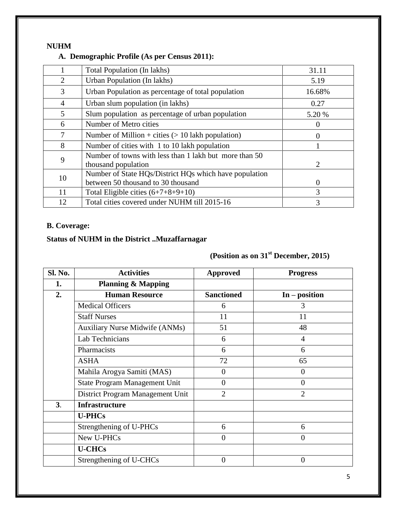#### **NUHM**

#### **A. Demographic Profile (As per Census 2011):**

|                | Total Population (In lakhs)                                                                  | 31.11          |
|----------------|----------------------------------------------------------------------------------------------|----------------|
| $\overline{2}$ | Urban Population (In lakhs)                                                                  | 5.19           |
| 3              | Urban Population as percentage of total population                                           | 16.68%         |
| $\overline{4}$ | Urban slum population (in lakhs)                                                             | 0.27           |
| 5              | Slum population as percentage of urban population                                            | 5.20 %         |
| 6              | Number of Metro cities                                                                       | $\theta$       |
| 7              | Number of Million + cities $(> 10$ lakh population)                                          | 0              |
| 8              | Number of cities with 1 to 10 lakh population                                                |                |
| 9              | Number of towns with less than 1 lakh but more than 50<br>thousand population                | $\overline{2}$ |
| 10             | Number of State HQs/District HQs which have population<br>between 50 thousand to 30 thousand | $\Omega$       |
| 11             | Total Eligible cities $(6+7+8+9+10)$                                                         | 3              |
| 12             | Total cities covered under NUHM till 2015-16                                                 | 3              |

#### **B. Coverage:**

#### **Status of NUHM in the District ..Muzaffarnagar**

## **(Position as on 31st December, 2015)**

| Sl. No.        | <b>Activities</b>                     | <b>Approved</b>   | <b>Progress</b> |
|----------------|---------------------------------------|-------------------|-----------------|
| 1.             | <b>Planning &amp; Mapping</b>         |                   |                 |
| 2.             | <b>Human Resource</b>                 | <b>Sanctioned</b> | $In - position$ |
|                | <b>Medical Officers</b>               | 6                 | 3               |
|                | <b>Staff Nurses</b>                   | 11                | 11              |
|                | <b>Auxiliary Nurse Midwife (ANMs)</b> | 51                | 48              |
|                | Lab Technicians                       | 6                 | $\overline{4}$  |
|                | Pharmacists                           | 6                 | 6               |
|                | <b>ASHA</b>                           | 72                | 65              |
|                | Mahila Arogya Samiti (MAS)            | 0                 | $\overline{0}$  |
|                | State Program Management Unit         | $\overline{0}$    | $\overline{0}$  |
|                | District Program Management Unit      | $\overline{2}$    | $\overline{2}$  |
| 3 <sub>1</sub> | <b>Infrastructure</b>                 |                   |                 |
|                | <b>U-PHCs</b>                         |                   |                 |
|                | Strengthening of U-PHCs               | 6                 | 6               |
|                | New U-PHCs                            | $\overline{0}$    | $\overline{0}$  |
|                | <b>U-CHCs</b>                         |                   |                 |
|                | Strengthening of U-CHCs               | $\overline{0}$    | $\overline{0}$  |